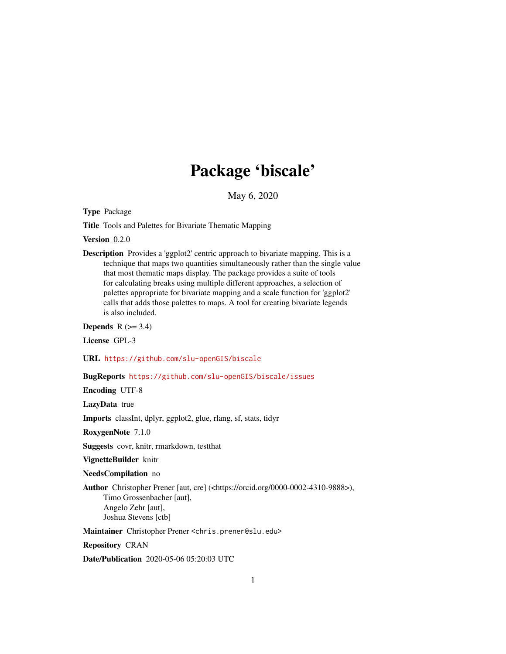## Package 'biscale'

May 6, 2020

<span id="page-0-0"></span>Type Package

Title Tools and Palettes for Bivariate Thematic Mapping

Version 0.2.0

Description Provides a 'ggplot2' centric approach to bivariate mapping. This is a technique that maps two quantities simultaneously rather than the single value that most thematic maps display. The package provides a suite of tools for calculating breaks using multiple different approaches, a selection of palettes appropriate for bivariate mapping and a scale function for 'ggplot2' calls that adds those palettes to maps. A tool for creating bivariate legends is also included.

Depends  $R$  ( $>= 3.4$ )

License GPL-3

URL <https://github.com/slu-openGIS/biscale>

#### BugReports <https://github.com/slu-openGIS/biscale/issues>

Encoding UTF-8

LazyData true

Imports classInt, dplyr, ggplot2, glue, rlang, sf, stats, tidyr

RoxygenNote 7.1.0

Suggests covr, knitr, rmarkdown, testthat

VignetteBuilder knitr

NeedsCompilation no

Author Christopher Prener [aut, cre] (<https://orcid.org/0000-0002-4310-9888>), Timo Grossenbacher [aut], Angelo Zehr [aut], Joshua Stevens [ctb]

Maintainer Christopher Prener <chris.prener@slu.edu>

Repository CRAN

Date/Publication 2020-05-06 05:20:03 UTC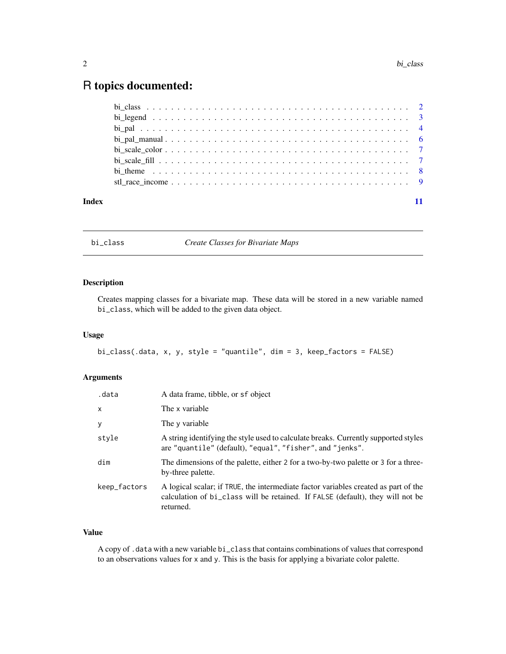### <span id="page-1-0"></span>R topics documented:

| Index |  |
|-------|--|

bi\_class *Create Classes for Bivariate Maps*

#### Description

Creates mapping classes for a bivariate map. These data will be stored in a new variable named bi\_class, which will be added to the given data object.

#### Usage

bi\_class(.data, x, y, style = "quantile", dim = 3, keep\_factors = FALSE)

#### Arguments

| .data        | A data frame, tibble, or sf object                                                                                                                                                 |
|--------------|------------------------------------------------------------------------------------------------------------------------------------------------------------------------------------|
| x            | The x variable                                                                                                                                                                     |
| У            | The y variable                                                                                                                                                                     |
| style        | A string identifying the style used to calculate breaks. Currently supported styles<br>are "quantile" (default), "equal", "fisher", and "jenks".                                   |
| dim          | The dimensions of the palette, either 2 for a two-by-two palette or 3 for a three-<br>by-three palette.                                                                            |
| keep_factors | A logical scalar; if TRUE, the intermediate factor variables created as part of the<br>calculation of bi_class will be retained. If FALSE (default), they will not be<br>returned. |

#### Value

A copy of .data with a new variable bi\_class that contains combinations of values that correspond to an observations values for x and y. This is the basis for applying a bivariate color palette.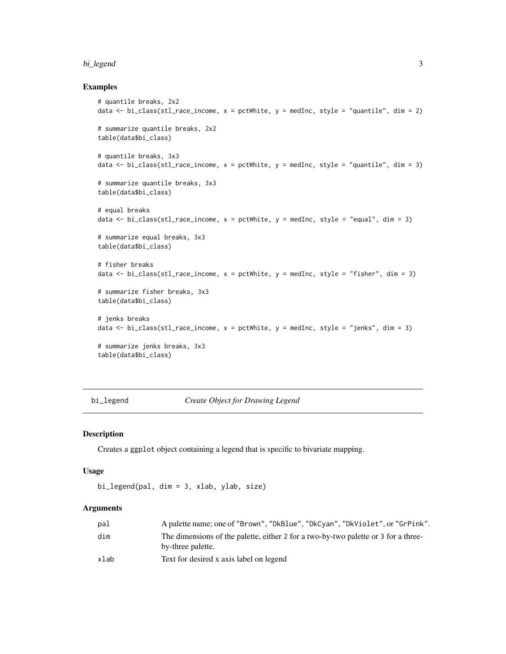#### <span id="page-2-0"></span>bi\_legend 3

#### Examples

```
# quantile breaks, 2x2
data <- bi_class(stl_race_income, x = pctWhite, y = medInc, style = "quantile", dim = 2)
# summarize quantile breaks, 2x2
table(data$bi_class)
# quantile breaks, 3x3
data \le bi_class(stl_race_income, x = pctWhite, y = medInc, style = "quantile", dim = 3)
# summarize quantile breaks, 3x3
table(data$bi_class)
# equal breaks
data \le bi_class(stl_race_income, x = pctWhite, y = medInc, style = "equal", dim = 3)
# summarize equal breaks, 3x3
table(data$bi_class)
# fisher breaks
data <- bi_class(stl_race_income, x = pctWhite, y = medInc, style = "fisher", dim = 3)
# summarize fisher breaks, 3x3
table(data$bi_class)
# jenks breaks
data \le bi_class(stl_race_income, x = pctWhite, y = medInc, style = "jenks", dim = 3)
# summarize jenks breaks, 3x3
table(data$bi_class)
```
bi\_legend *Create Object for Drawing Legend*

#### Description

Creates a ggplot object containing a legend that is specific to bivariate mapping.

#### Usage

```
bi_legend(pal, dim = 3, xlab, ylab, size)
```
#### Arguments

| pal  | A palette name; one of "Brown", "DkBlue", "DkCyan", "DkViolet", or "GrPink".                            |
|------|---------------------------------------------------------------------------------------------------------|
| dim  | The dimensions of the palette, either 2 for a two-by-two palette or 3 for a three-<br>by-three palette. |
| xlab | Text for desired x axis label on legend                                                                 |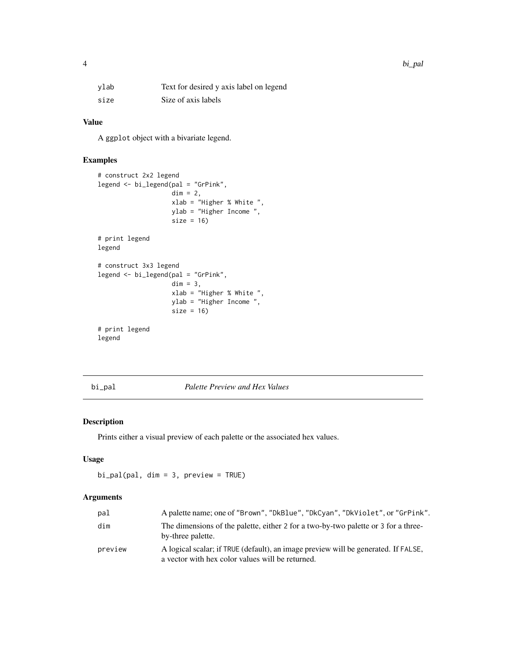#### <span id="page-3-0"></span>Value

A ggplot object with a bivariate legend.

#### Examples

```
# construct 2x2 legend
legend <- bi_legend(pal = "GrPink",
                   dim = 2,
                   xlab = "Higher % White ",
                   ylab = "Higher Income ",
                   size = 16# print legend
legend
# construct 3x3 legend
legend <- bi_legend(pal = "GrPink",
                   dim = 3,
                   xlab = "Higher % White ",
                   ylab = "Higher Income ",
                   size = 16# print legend
legend
```
bi\_pal *Palette Preview and Hex Values*

#### Description

Prints either a visual preview of each palette or the associated hex values.

#### Usage

bi\_pal(pal, dim = 3, preview = TRUE)

#### Arguments

| pal     | A palette name; one of "Brown", "DkBlue", "DkCyan", "DkViolet", or "GrPink".                                                           |
|---------|----------------------------------------------------------------------------------------------------------------------------------------|
| dim     | The dimensions of the palette, either 2 for a two-by-two palette or 3 for a three-<br>by-three palette.                                |
| preview | A logical scalar; if TRUE (default), an image preview will be generated. If FALSE,<br>a vector with hex color values will be returned. |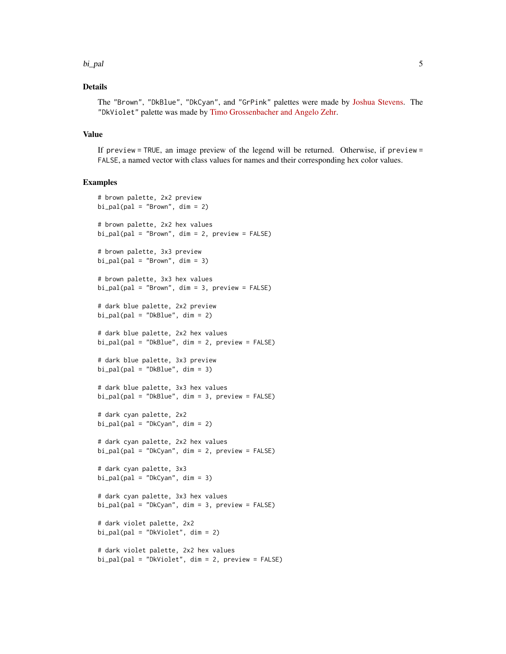#### bi\_pal 5

#### Details

The "Brown", "DkBlue", "DkCyan", and "GrPink" palettes were made by [Joshua Stevens.](http://www.joshuastevens.net/cartography/make-a-bivariate-choropleth-map/) The "DkViolet" palette was made by [Timo Grossenbacher and Angelo Zehr.](https://timogrossenbacher.ch/2019/04/bivariate-maps-with-ggplot2-and-sf/)

#### Value

If preview = TRUE, an image preview of the legend will be returned. Otherwise, if preview = FALSE, a named vector with class values for names and their corresponding hex color values.

#### Examples

```
# brown palette, 2x2 preview
bi\_pal(pal = "Brown", dim = 2)# brown palette, 2x2 hex values
bi\_pal(pal = "Brown", dim = 2, preview = FALSE)# brown palette, 3x3 preview
bi\_pal(pal = "Brown", dim = 3)# brown palette, 3x3 hex values
bi_pal(pal = "Brown", dim = 3, preview = FALSE)
# dark blue palette, 2x2 preview
bi\_pal(pal = "DkBlue", dim = 2)# dark blue palette, 2x2 hex values
bi\_pal(pal = "DkBlue", dim = 2, preview = FALSE)# dark blue palette, 3x3 preview
bi\_pal(pal = "DkBlue", dim = 3)# dark blue palette, 3x3 hex values
bi_pal(pal = "DkBlue", dim = 3, preview = FALSE)
# dark cyan palette, 2x2
bi\_pal(pal = "DkCyan", dim = 2)# dark cyan palette, 2x2 hex values
bi\_pal(pal = "DkCyan", dim = 2, preview = FALSE)# dark cyan palette, 3x3
bi\_pal(pal = "DkCyan", dim = 3)# dark cyan palette, 3x3 hex values
bi_pal(pal = "DkCyan", dim = 3, preview = FALSE)
# dark violet palette, 2x2
bi\_pal(pal = "DkViolet", dim = 2)# dark violet palette, 2x2 hex values
bi_pal(pal = "DkViolet", dim = 2, preview = FALSE)
```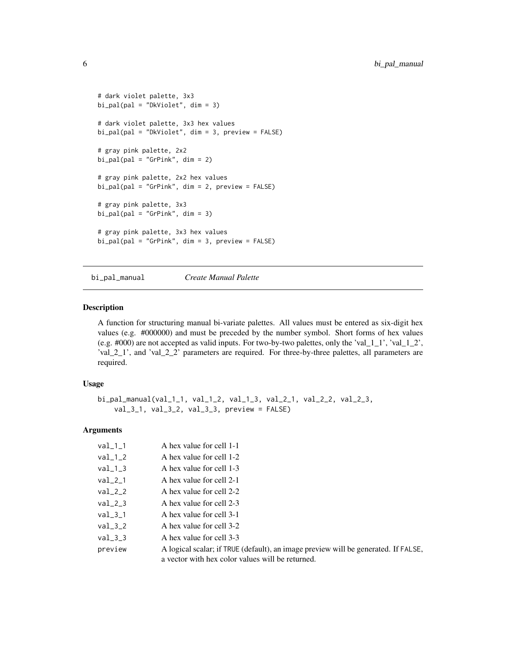```
# dark violet palette, 3x3
bi_pal(pal = "DkViolet", dim = 3)
# dark violet palette, 3x3 hex values
bi_pal(pal = "DkViolet", dim = 3, preview = FALSE)
# gray pink palette, 2x2
bi\_pal(pal = "GrPink", dim = 2)# gray pink palette, 2x2 hex values
bi_pal(pal = "GrPink", dim = 2, preview = FALSE)
# gray pink palette, 3x3
bi_pal(pal = "GrPink", dim = 3)
# gray pink palette, 3x3 hex values
bi_pal(pal = "GrPink", dim = 3, preview = FALSE)
```
<span id="page-5-1"></span>bi\_pal\_manual *Create Manual Palette*

#### Description

A function for structuring manual bi-variate palettes. All values must be entered as six-digit hex values (e.g. #000000) and must be preceded by the number symbol. Short forms of hex values (e.g. #000) are not accepted as valid inputs. For two-by-two palettes, only the 'val\_1\_1', 'val\_1\_2', 'val\_2\_1', and 'val\_2\_2' parameters are required. For three-by-three palettes, all parameters are required.

#### Usage

```
bi_pal_manual(val_1_1, val_1_2, val_1_3, val_2_1, val_2_2, val_2_3,
   val_3_1, val_3_2, val_3_3, preview = FALSE)
```
#### Arguments

| $val_1_1$ | A hex value for cell 1-1                                                                                                               |
|-----------|----------------------------------------------------------------------------------------------------------------------------------------|
| $val_1_2$ | A hex value for cell 1-2                                                                                                               |
| $val_1_3$ | A hex value for cell 1-3                                                                                                               |
| $val_2_1$ | A hex value for cell 2-1                                                                                                               |
| $val_2_2$ | A hex value for cell 2-2                                                                                                               |
| $val_2_3$ | A hex value for cell 2-3                                                                                                               |
| $val_3_1$ | A hex value for cell 3-1                                                                                                               |
| $val_3_2$ | A hex value for cell 3-2                                                                                                               |
| $val_3_3$ | A hex value for cell 3-3                                                                                                               |
| preview   | A logical scalar; if TRUE (default), an image preview will be generated. If FALSE,<br>a vector with hex color values will be returned. |

<span id="page-5-0"></span>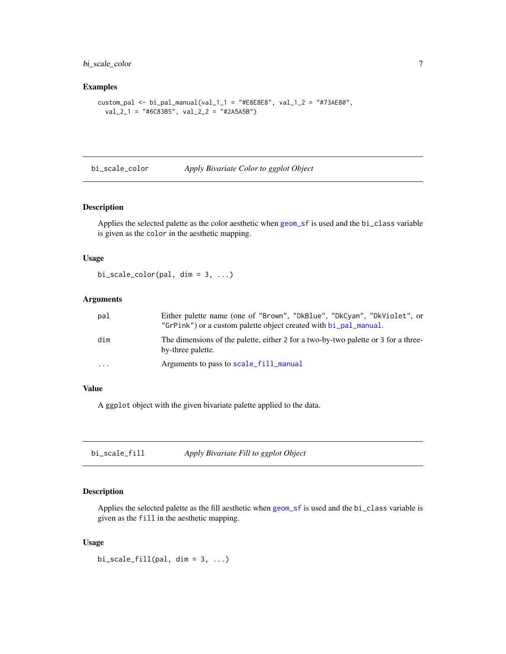#### <span id="page-6-0"></span>bi\_scale\_color 7

#### Examples

```
custom_pal <- bi_pal_manual(val_1_1 = "#E8E8E8", val_1_2 = "#73AE80",
  val_2_1 = "#6C83B5", val_2_2 = "#2A5A5B")
```
bi\_scale\_color *Apply Bivariate Color to ggplot Object*

#### Description

Applies the selected palette as the color aesthetic when [geom\\_sf](#page-0-0) is used and the bi\_class variable is given as the color in the aesthetic mapping.

#### Usage

 $bi\_scale\_color(pal, dim = 3, ...)$ 

#### Arguments

| pal       | Either palette name (one of "Brown", "DkBlue", "DkCyan", "DkViolet", or<br>"GrPink") or a custom palette object created with bi_pal_manual. |
|-----------|---------------------------------------------------------------------------------------------------------------------------------------------|
| dim       | The dimensions of the palette, either 2 for a two-by-two palette or 3 for a three-<br>by-three palette.                                     |
| $\ddotsc$ | Arguments to pass to scale_fill_manual                                                                                                      |

#### Value

A ggplot object with the given bivariate palette applied to the data.

bi\_scale\_fill *Apply Bivariate Fill to ggplot Object*

#### Description

Applies the selected palette as the fill aesthetic when [geom\\_sf](#page-0-0) is used and the bi\_class variable is given as the fill in the aesthetic mapping.

#### Usage

 $bi\_scale\_fill(pal, dim = 3, ...)$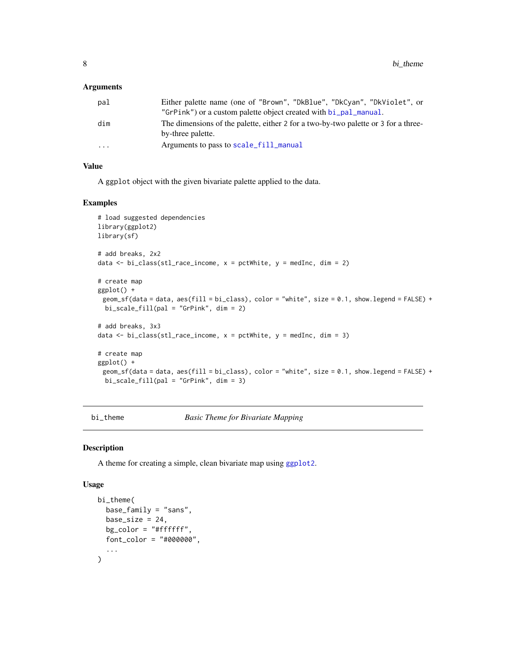#### <span id="page-7-0"></span>Arguments

| pal      | Either palette name (one of "Brown", "DkBlue", "DkCyan", "DkViolet", or                                 |
|----------|---------------------------------------------------------------------------------------------------------|
|          | "GrPink") or a custom palette object created with bi_pal_manual.                                        |
| dim      | The dimensions of the palette, either 2 for a two-by-two palette or 3 for a three-<br>by-three palette. |
| $\cdots$ | Arguments to pass to scale_fill_manual                                                                  |

#### Value

A ggplot object with the given bivariate palette applied to the data.

#### Examples

```
# load suggested dependencies
library(ggplot2)
library(sf)
# add breaks, 2x2
data <- bi_class(stl_race_income, x = pctWhite, y = medInc, dim = 2)
# create map
ggplot() +
 geom_sf(data = data, aes(fill = bi_class), color = "white", size = 0.1, show.legend = FALSE) +
 bi_scale_fill(pal = "GrPink", dim = 2)
# add breaks, 3x3
data \le bi_class(stl_race_income, x = pctWhite, y = medInc, dim = 3)
# create map
ggplot() +
 geom_sf(data = data, aes(fill = bi_class), color = "white", size = 0.1, show.legend = FALSE) +
 bi_scale_fill(pal = "GrPink", dim = 3)
```
bi\_theme *Basic Theme for Bivariate Mapping*

#### Description

A theme for creating a simple, clean bivariate map using [ggplot2](#page-0-0).

#### Usage

```
bi_theme(
  base_family = "sans",base_size = 24,
 bg\_color = "#ffffff",font_color = "#000000",
  ...
)
```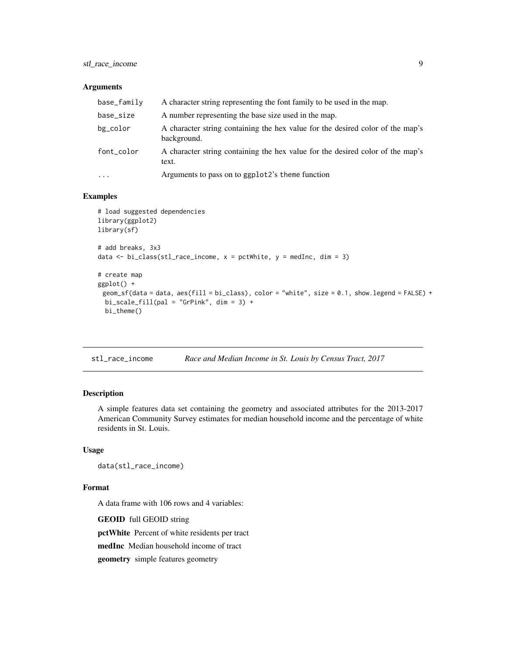<span id="page-8-0"></span>stl\_race\_income 9

#### Arguments

| base_family | A character string representing the font family to be used in the map.                        |
|-------------|-----------------------------------------------------------------------------------------------|
| base_size   | A number representing the base size used in the map.                                          |
| bg_color    | A character string containing the hex value for the desired color of the map's<br>background. |
| font_color  | A character string containing the hex value for the desired color of the map's<br>text.       |
| $\cdots$    | Arguments to pass on to ggplot2's theme function                                              |

#### Examples

```
# load suggested dependencies
library(ggplot2)
library(sf)
# add breaks, 3x3
data \le bi_class(stl_race_income, x = pctWhite, y = medInc, dim = 3)
# create map
ggplot() +
 geom_sf(data = data, aes(fill = bi_class), color = "white", size = 0.1, show.legend = FALSE) +
 \overline{b}i_scale_fill(pal = "GrPink", dim = 3) +
  bi_theme()
```
stl\_race\_income *Race and Median Income in St. Louis by Census Tract, 2017*

#### Description

A simple features data set containing the geometry and associated attributes for the 2013-2017 American Community Survey estimates for median household income and the percentage of white residents in St. Louis.

#### Usage

data(stl\_race\_income)

#### Format

A data frame with 106 rows and 4 variables:

GEOID full GEOID string

pctWhite Percent of white residents per tract

medInc Median household income of tract

geometry simple features geometry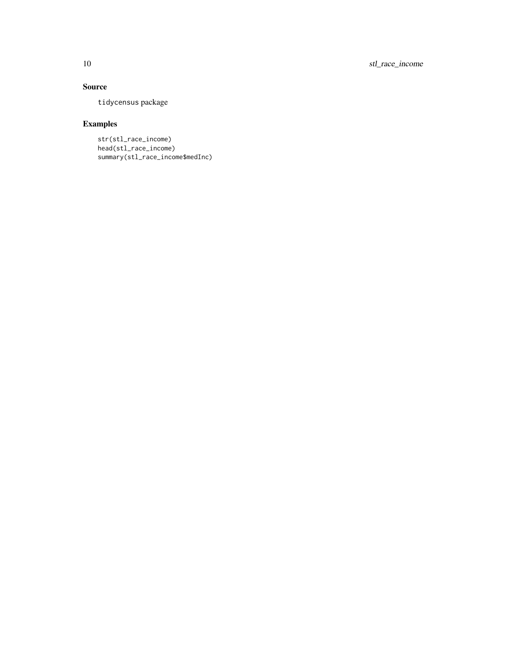#### Source

tidycensus package

### Examples

str(stl\_race\_income) head(stl\_race\_income) summary(stl\_race\_income\$medInc)